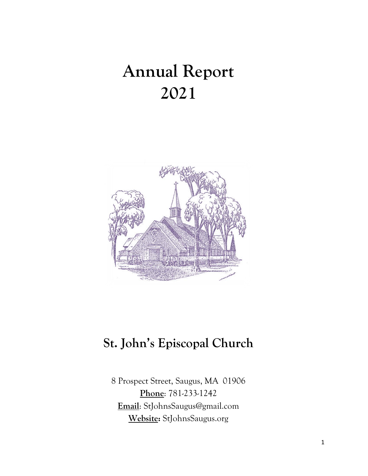# **Annual Report 2021**



## **St. John's Episcopal Church**

8 Prospect Street, Saugus, MA 01906 **Phone**: 781-233-1242 **Email**: StJohnsSaugus@gmail.com **Website:** StJohnsSaugus.org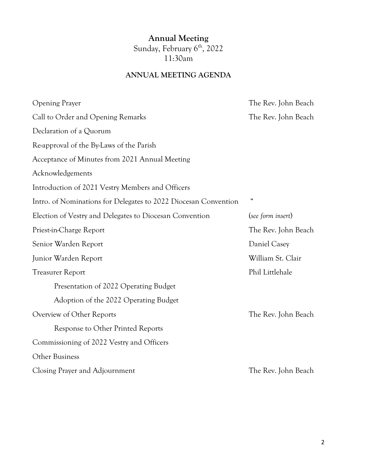### **Annual Meeting** Sunday, February 6<sup>th</sup>, 2022 11:30am

### **ANNUAL MEETING AGENDA**

| <b>Opening Prayer</b>                                           | The Rev. John Beach                     |
|-----------------------------------------------------------------|-----------------------------------------|
| Call to Order and Opening Remarks                               | The Rev. John Beach                     |
| Declaration of a Quorum                                         |                                         |
| Re-approval of the By-Laws of the Parish                        |                                         |
| Acceptance of Minutes from 2021 Annual Meeting                  |                                         |
| Acknowledgements                                                |                                         |
| Introduction of 2021 Vestry Members and Officers                |                                         |
| Intro. of Nominations for Delegates to 2022 Diocesan Convention | $\boldsymbol{\zeta} \boldsymbol{\zeta}$ |
| Election of Vestry and Delegates to Diocesan Convention         | (see form insert)                       |
| Priest-in-Charge Report                                         | The Rev. John Beach                     |
| Senior Warden Report                                            | Daniel Casey                            |
| Junior Warden Report                                            | William St. Clair                       |
| <b>Treasurer Report</b>                                         | Phil Littlehale                         |
| Presentation of 2022 Operating Budget                           |                                         |
| Adoption of the 2022 Operating Budget                           |                                         |
| Overview of Other Reports                                       | The Rev. John Beach                     |
| Response to Other Printed Reports                               |                                         |
| Commissioning of 2022 Vestry and Officers                       |                                         |
| Other Business                                                  |                                         |
| Closing Prayer and Adjournment                                  | The Rev. John Beach                     |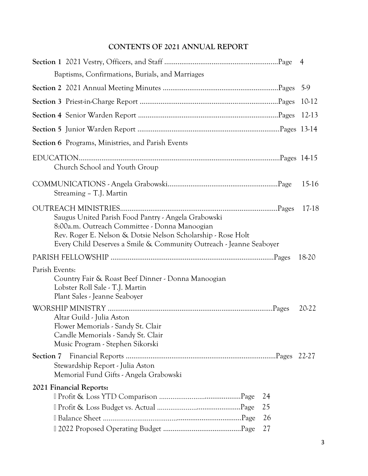### **CONTENTS OF 2021 ANNUAL REPORT**

|                                                                                                                                                                                                                                             |    | $\overline{4}$ |
|---------------------------------------------------------------------------------------------------------------------------------------------------------------------------------------------------------------------------------------------|----|----------------|
| Baptisms, Confirmations, Burials, and Marriages                                                                                                                                                                                             |    |                |
|                                                                                                                                                                                                                                             |    |                |
|                                                                                                                                                                                                                                             |    | 10-12          |
|                                                                                                                                                                                                                                             |    |                |
|                                                                                                                                                                                                                                             |    |                |
| <b>Section 6</b> Programs, Ministries, and Parish Events                                                                                                                                                                                    |    |                |
| Church School and Youth Group                                                                                                                                                                                                               |    |                |
| Streaming - T.J. Martin                                                                                                                                                                                                                     |    | 15-16          |
| Saugus United Parish Food Pantry - Angela Grabowski<br>8:00a.m. Outreach Committee - Donna Manoogian<br>Rev. Roger E. Nelson & Dotsie Nelson Scholarship - Rose Holt<br>Every Child Deserves a Smile & Community Outreach - Jeanne Seaboyer |    | 17-18          |
|                                                                                                                                                                                                                                             |    | 18-20          |
| Parish Events:<br>Country Fair & Roast Beef Dinner - Donna Manoogian<br>Lobster Roll Sale - T.J. Martin<br>Plant Sales - Jeanne Seaboyer                                                                                                    |    |                |
| Altar Guild - Julia Aston<br>Flower Memorials - Sandy St. Clair<br>Candle Memorials - Sandy St. Clair<br>Music Program - Stephen Sikorski                                                                                                   |    | 20-22          |
| Section 7<br>Stewardship Report - Julia Aston<br>Memorial Fund Gifts - Angela Grabowski                                                                                                                                                     |    |                |
| 2021 Financial Reports:                                                                                                                                                                                                                     |    |                |
|                                                                                                                                                                                                                                             | 24 |                |
|                                                                                                                                                                                                                                             | 25 |                |
|                                                                                                                                                                                                                                             | 26 |                |
|                                                                                                                                                                                                                                             | 27 |                |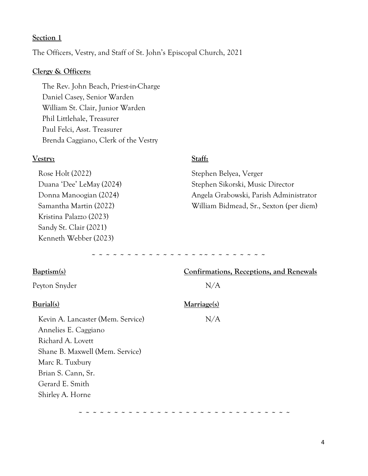#### **Section 1**

The Officers, Vestry, and Staff of St. John's Episcopal Church, 2021

#### **Clergy & Officers:**

 The Rev. John Beach, Priest-in-Charge Daniel Casey, Senior Warden William St. Clair, Junior Warden Phil Littlehale, Treasurer Paul Felci, Asst. Treasurer Brenda Caggiano, Clerk of the Vestry

#### **Vestry: Staff:**

| Rose Holt (2022)         | Stephen Belyea, Verger                  |
|--------------------------|-----------------------------------------|
| Duana 'Dee' LeMay (2024) | Stephen Sikorski, Music Director        |
| Donna Manoogian (2024)   | Angela Grabowski, Parish Administrator  |
| Samantha Martin (2022)   | William Bidmead, Sr., Sexton (per diem) |
| Kristina Palazzo (2023)  |                                         |
| Sandy St. Clair (2021)   |                                         |
| Kenneth Webber (2023)    |                                         |
|                          |                                         |

**~ ~ ~ ~ ~ ~ ~ ~ ~ ~ ~ ~ ~ ~ ~ ~~ ~ ~ ~ ~ ~ ~ ~ ~**

| Baptism(s)                        | Confirmations, Receptions, and Renewals |  |
|-----------------------------------|-----------------------------------------|--|
| Peyton Snyder                     | N/A                                     |  |
| Burial(s)                         | Marriage(s)                             |  |
| Kevin A. Lancaster (Mem. Service) | N/A                                     |  |
| Annelies E. Caggiano              |                                         |  |
| Richard A. Lovett                 |                                         |  |
| Shane B. Maxwell (Mem. Service)   |                                         |  |
| Marc R. Tuxbury                   |                                         |  |
| Brian S. Cann, Sr.                |                                         |  |
| Gerard E. Smith                   |                                         |  |
| Shirley A. Horne                  |                                         |  |
|                                   |                                         |  |

 **~ ~ ~ ~ ~ ~ ~ ~ ~ ~ ~ ~ ~ ~ ~ ~ ~ ~ ~ ~ ~ ~ ~ ~ ~ ~ ~ ~ ~ ~**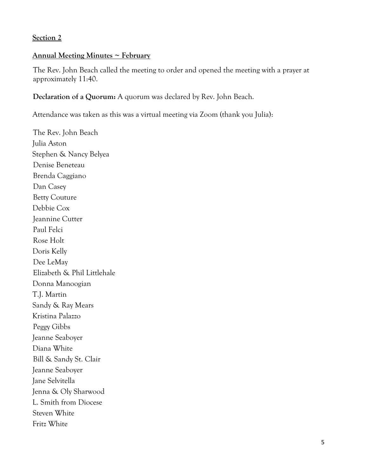#### **Section 2**

#### **Annual Meeting Minutes ~ February**

The Rev. John Beach called the meeting to order and opened the meeting with a prayer at approximately 11:40.

#### **Declaration of a Quorum:** A quorum was declared by Rev. John Beach.

Attendance was taken as this was a virtual meeting via Zoom (thank you Julia):

The Rev. John Beach Julia Aston Stephen & Nancy Belyea Denise Beneteau Brenda Caggiano Dan Casey Betty Couture Debbie Cox Jeannine Cutter Paul Felci Rose Holt Doris Kelly Dee LeMay Elizabeth & Phil Littlehale Donna Manoogian T.J. Martin Sandy & Ray Mears Kristina Palazzo Peggy Gibbs Jeanne Seaboyer Diana White Bill & Sandy St. Clair Jeanne Seaboyer Jane Selvitella Jenna & Oly Sharwood L. Smith from Diocese Steven White Fritz White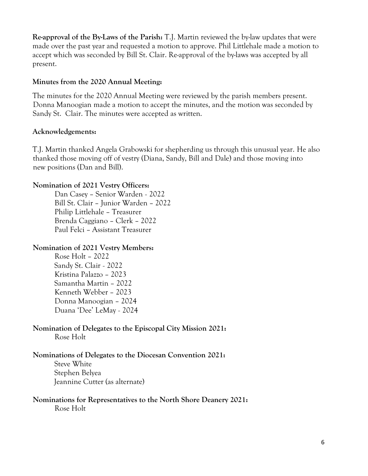**Re-approval of the By-Laws of the Parish:** T.J. Martin reviewed the by-law updates that were made over the past year and requested a motion to approve. Phil Littlehale made a motion to accept which was seconded by Bill St. Clair. Re-approval of the by-laws was accepted by all present.

#### **Minutes from the 2020 Annual Meeting:**

The minutes for the 2020 Annual Meeting were reviewed by the parish members present. Donna Manoogian made a motion to accept the minutes, and the motion was seconded by Sandy St. Clair. The minutes were accepted as written.

#### **Acknowledgements:**

T.J. Martin thanked Angela Grabowski for shepherding us through this unusual year. He also thanked those moving off of vestry (Diana, Sandy, Bill and Dale) and those moving into new positions (Dan and Bill).

#### **Nomination of 2021 Vestry Officers:**

Dan Casey – Senior Warden - 2022 Bill St. Clair – Junior Warden – 2022 Philip Littlehale – Treasurer Brenda Caggiano – Clerk – 2022 Paul Felci – Assistant Treasurer

#### **Nomination of 2021 Vestry Members:**

Rose Holt – 2022 Sandy St. Clair - 2022 Kristina Palazzo – 2023 Samantha Martin – 2022 Kenneth Webber – 2023 Donna Manoogian – 2024 Duana 'Dee' LeMay - 2024

#### **Nomination of Delegates to the Episcopal City Mission 2021:** Rose Holt

#### **Nominations of Delegates to the Diocesan Convention 2021:**

Steve White Stephen Belyea Jeannine Cutter (as alternate)

## **Nominations for Representatives to the North Shore Deanery 2021:**

Rose Holt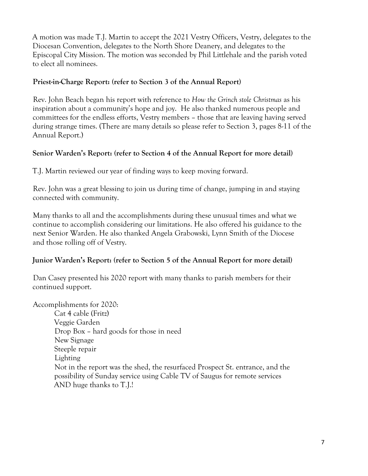A motion was made T.J. Martin to accept the 2021 Vestry Officers, Vestry, delegates to the Diocesan Convention, delegates to the North Shore Deanery, and delegates to the Episcopal City Mission. The motion was seconded by Phil Littlehale and the parish voted to elect all nominees.

#### **Priest-in-Charge Report: (refer to Section 3 of the Annual Report)**

Rev. John Beach began his report with reference to *How the Grinch stole Christmas* as his inspiration about a community's hope and joy. He also thanked numerous people and committees for the endless efforts, Vestry members – those that are leaving having served during strange times. (There are many details so please refer to Section 3, pages 8-11 of the Annual Report.)

#### **Senior Warden's Report: (refer to Section 4 of the Annual Report for more detail)**

T.J. Martin reviewed our year of finding ways to keep moving forward.

Rev. John was a great blessing to join us during time of change, jumping in and staying connected with community.

Many thanks to all and the accomplishments during these unusual times and what we continue to accomplish considering our limitations. He also offered his guidance to the next Senior Warden. He also thanked Angela Grabowski, Lynn Smith of the Diocese and those rolling off of Vestry.

#### **Junior Warden's Report: (refer to Section 5 of the Annual Report for more detail)**

Dan Casey presented his 2020 report with many thanks to parish members for their continued support.

Accomplishments for 2020:

Cat 4 cable (Fritz) Veggie Garden Drop Box – hard goods for those in need New Signage Steeple repair Lighting Not in the report was the shed, the resurfaced Prospect St. entrance, and the possibility of Sunday service using Cable TV of Saugus for remote services AND huge thanks to T.J.!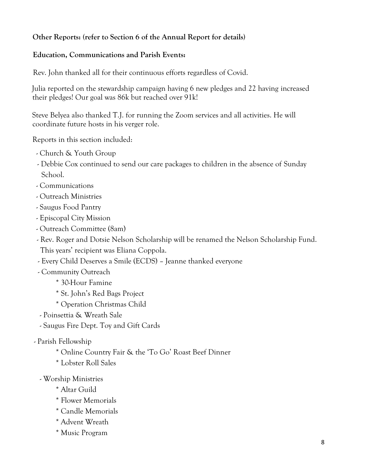### **Other Reports: (refer to Section 6 of the Annual Report for details)**

#### **Education, Communications and Parish Events:**

Rev. John thanked all for their continuous efforts regardless of Covid.

Julia reported on the stewardship campaign having 6 new pledges and 22 having increased their pledges! Our goal was 86k but reached over 91k!

Steve Belyea also thanked T.J. for running the Zoom services and all activities. He will coordinate future hosts in his verger role.

Reports in this section included:

- Church & Youth Group
- Debbie Cox continued to send our care packages to children in the absence of Sunday School.
- Communications
- Outreach Ministries
- Saugus Food Pantry
- Episcopal City Mission
- Outreach Committee (8am)
- Rev. Roger and Dotsie Nelson Scholarship will be renamed the Nelson Scholarship Fund. This years' recipient was Eliana Coppola.
- Every Child Deserves a Smile (ECDS) Jeanne thanked everyone
- Community Outreach
	- \* 30-Hour Famine
	- \* St. John's Red Bags Project
	- \* Operation Christmas Child
- Poinsettia & Wreath Sale
- Saugus Fire Dept. Toy and Gift Cards
- Parish Fellowship
	- \* Online Country Fair & the 'To Go' Roast Beef Dinner
	- \* Lobster Roll Sales
	- Worship Ministries
		- \* Altar Guild
		- \* Flower Memorials
		- \* Candle Memorials
		- \* Advent Wreath
		- \* Music Program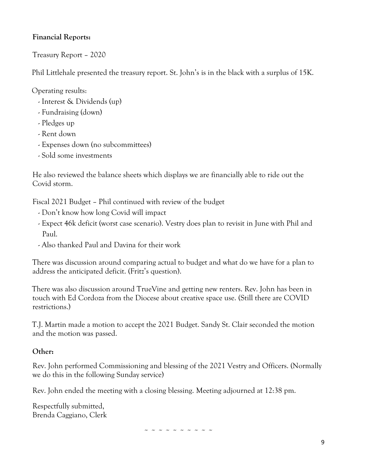#### **Financial Reports:**

Treasury Report – 2020

Phil Littlehale presented the treasury report. St. John's is in the black with a surplus of 15K.

Operating results:

- Interest & Dividends (up)
- Fundraising (down)
- Pledges up
- Rent down
- Expenses down (no subcommittees)
- Sold some investments

He also reviewed the balance sheets which displays we are financially able to ride out the Covid storm.

Fiscal 2021 Budget – Phil continued with review of the budget

- Don't know how long Covid will impact
- Expect 46k deficit (worst case scenario). Vestry does plan to revisit in June with Phil and Paul.
- Also thanked Paul and Davina for their work

There was discussion around comparing actual to budget and what do we have for a plan to address the anticipated deficit. (Fritz's question).

There was also discussion around TrueVine and getting new renters. Rev. John has been in touch with Ed Cordoza from the Diocese about creative space use. (Still there are COVID restrictions.)

T.J. Martin made a motion to accept the 2021 Budget. Sandy St. Clair seconded the motion and the motion was passed.

#### **Other:**

Rev. John performed Commissioning and blessing of the 2021 Vestry and Officers. (Normally we do this in the following Sunday service)

Rev. John ended the meeting with a closing blessing. Meeting adjourned at 12:38 pm.

Respectfully submitted, Brenda Caggiano, Clerk

~ ~ ~ ~ ~ ~ ~ ~ ~ ~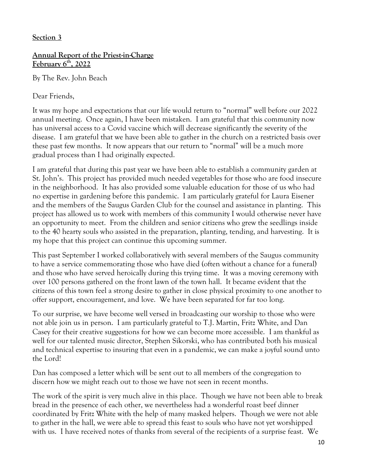#### **Section 3**

#### **Annual Report of the Priest-in-Charge February 6th, 2022**

By The Rev. John Beach

Dear Friends,

It was my hope and expectations that our life would return to "normal" well before our 2022 annual meeting. Once again, I have been mistaken. I am grateful that this community now has universal access to a Covid vaccine which will decrease significantly the severity of the disease. I am grateful that we have been able to gather in the church on a restricted basis over these past few months. It now appears that our return to "normal" will be a much more gradual process than I had originally expected.

I am grateful that during this past year we have been able to establish a community garden at St. John's. This project has provided much needed vegetables for those who are food insecure in the neighborhood. It has also provided some valuable education for those of us who had no expertise in gardening before this pandemic. I am particularly grateful for Laura Eisener and the members of the Saugus Garden Club for the counsel and assistance in planting. This project has allowed us to work with members of this community I would otherwise never have an opportunity to meet. From the children and senior citizens who grew the seedlings inside to the 40 hearty souls who assisted in the preparation, planting, tending, and harvesting. It is my hope that this project can continue this upcoming summer.

This past September I worked collaboratively with several members of the Saugus community to have a service commemorating those who have died (often without a chance for a funeral) and those who have served heroically during this trying time. It was a moving ceremony with over 100 persons gathered on the front lawn of the town hall. It became evident that the citizens of this town feel a strong desire to gather in close physical proximity to one another to offer support, encouragement, and love. We have been separated for far too long.

To our surprise, we have become well versed in broadcasting our worship to those who were not able join us in person. I am particularly grateful to T.J. Martin, Fritz White, and Dan Casey for their creative suggestions for how we can become more accessible. I am thankful as well for our talented music director, Stephen Sikorski, who has contributed both his musical and technical expertise to insuring that even in a pandemic, we can make a joyful sound unto the Lord!

Dan has composed a letter which will be sent out to all members of the congregation to discern how we might reach out to those we have not seen in recent months.

The work of the spirit is very much alive in this place. Though we have not been able to break bread in the presence of each other, we nevertheless had a wonderful roast beef dinner coordinated by Fritz White with the help of many masked helpers. Though we were not able to gather in the hall, we were able to spread this feast to souls who have not yet worshipped with us. I have received notes of thanks from several of the recipients of a surprise feast. We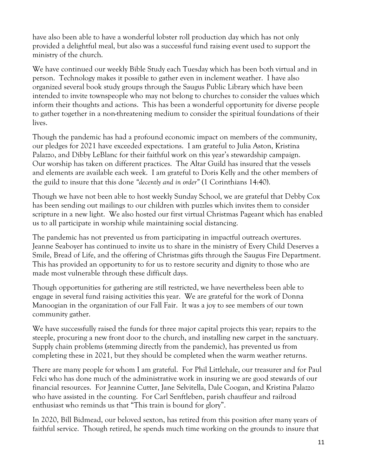have also been able to have a wonderful lobster roll production day which has not only provided a delightful meal, but also was a successful fund raising event used to support the ministry of the church.

We have continued our weekly Bible Study each Tuesday which has been both virtual and in person. Technology makes it possible to gather even in inclement weather. I have also organized several book study groups through the Saugus Public Library which have been intended to invite townspeople who may not belong to churches to consider the values which inform their thoughts and actions. This has been a wonderful opportunity for diverse people to gather together in a non-threatening medium to consider the spiritual foundations of their lives.

Though the pandemic has had a profound economic impact on members of the community, our pledges for 2021 have exceeded expectations. I am grateful to Julia Aston, Kristina Palazzo, and Dibby LeBlanc for their faithful work on this year's stewardship campaign. Our worship has taken on different practices. The Altar Guild has insured that the vessels and elements are available each week. I am grateful to Doris Kelly and the other members of the guild to insure that this done *"decently and in order"* (1 Corinthians 14:40).

Though we have not been able to host weekly Sunday School, we are grateful that Debby Cox has been sending out mailings to our children with puzzles which invites them to consider scripture in a new light. We also hosted our first virtual Christmas Pageant which has enabled us to all participate in worship while maintaining social distancing.

The pandemic has not prevented us from participating in impactful outreach overtures. Jeanne Seaboyer has continued to invite us to share in the ministry of Every Child Deserves a Smile, Bread of Life, and the offering of Christmas gifts through the Saugus Fire Department. This has provided an opportunity to for us to restore security and dignity to those who are made most vulnerable through these difficult days.

Though opportunities for gathering are still restricted, we have nevertheless been able to engage in several fund raising activities this year. We are grateful for the work of Donna Manoogian in the organization of our Fall Fair. It was a joy to see members of our town community gather.

We have successfully raised the funds for three major capital projects this year; repairs to the steeple, procuring a new front door to the church, and installing new carpet in the sanctuary. Supply chain problems (stemming directly from the pandemic), has prevented us from completing these in 2021, but they should be completed when the warm weather returns.

There are many people for whom I am grateful. For Phil Littlehale, our treasurer and for Paul Felci who has done much of the administrative work in insuring we are good stewards of our financial resources. For Jeannine Cutter, Jane Selvitella, Dale Coogan, and Kristina Palazzo who have assisted in the counting. For Carl Senftleben, parish chauffeur and railroad enthusiast who reminds us that "This train is bound for glory".

In 2020, Bill Bidmead, our beloved sexton, has retired from this position after many years of faithful service. Though retired, he spends much time working on the grounds to insure that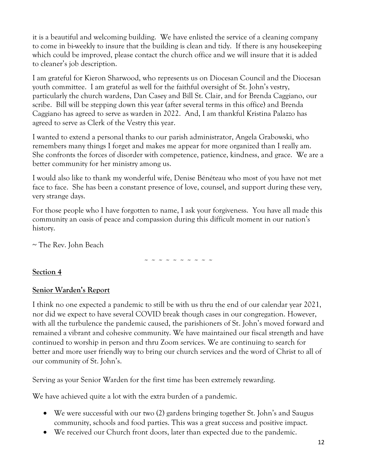it is a beautiful and welcoming building. We have enlisted the service of a cleaning company to come in bi-weekly to insure that the building is clean and tidy. If there is any housekeeping which could be improved, please contact the church office and we will insure that it is added to cleaner's job description.

I am grateful for Kieron Sharwood, who represents us on Diocesan Council and the Diocesan youth committee. I am grateful as well for the faithful oversight of St. John's vestry, particularly the church wardens, Dan Casey and Bill St. Clair, and for Brenda Caggiano, our scribe. Bill will be stepping down this year (after several terms in this office) and Brenda Caggiano has agreed to serve as warden in 2022. And, I am thankful Kristina Palazzo has agreed to serve as Clerk of the Vestry this year.

I wanted to extend a personal thanks to our parish administrator, Angela Grabowski, who remembers many things I forget and makes me appear for more organized than I really am. She confronts the forces of disorder with competence, patience, kindness, and grace. We are a better community for her ministry among us.

I would also like to thank my wonderful wife, Denise Bénéteau who most of you have not met face to face. She has been a constant presence of love, counsel, and support during these very, very strange days.

For those people who I have forgotten to name, I ask your forgiveness. You have all made this community an oasis of peace and compassion during this difficult moment in our nation's history.

~ The Rev. John Beach

~ ~ ~ ~ ~ ~ ~ ~ ~ ~

#### **Section 4**

#### **Senior Warden's Report**

I think no one expected a pandemic to still be with us thru the end of our calendar year 2021, nor did we expect to have several COVID break though cases in our congregation. However, with all the turbulence the pandemic caused, the parishioners of St. John's moved forward and remained a vibrant and cohesive community. We have maintained our fiscal strength and have continued to worship in person and thru Zoom services. We are continuing to search for better and more user friendly way to bring our church services and the word of Christ to all of our community of St. John's.

Serving as your Senior Warden for the first time has been extremely rewarding.

We have achieved quite a lot with the extra burden of a pandemic.

- We were successful with our two (2) gardens bringing together St. John's and Saugus community, schools and food parties. This was a great success and positive impact.
- We received our Church front doors, later than expected due to the pandemic.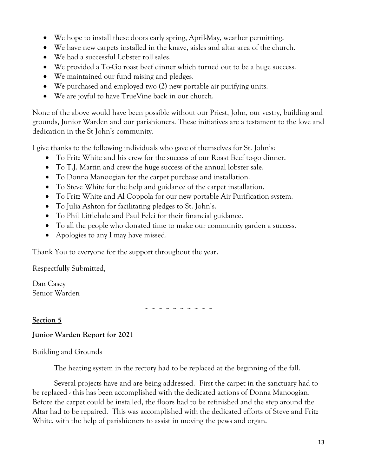- We hope to install these doors early spring, April-May, weather permitting.
- We have new carpets installed in the knave, aisles and altar area of the church.
- We had a successful Lobster roll sales.
- We provided a To-Go roast beef dinner which turned out to be a huge success.
- We maintained our fund raising and pledges.
- We purchased and employed two (2) new portable air purifying units.
- We are joyful to have TrueVine back in our church.

None of the above would have been possible without our Priest, John, our vestry, building and grounds, Junior Warden and our parishioners. These initiatives are a testament to the love and dedication in the St John's community.

I give thanks to the following individuals who gave of themselves for St. John's:

- To Fritz White and his crew for the success of our Roast Beef to-go dinner.
- To T.J. Martin and crew the huge success of the annual lobster sale.
- To Donna Manoogian for the carpet purchase and installation.
- To Steve White for the help and guidance of the carpet installation.
- To Fritz White and Al Coppola for our new portable Air Purification system.
- To Julia Ashton for facilitating pledges to St. John's.
- To Phil Littlehale and Paul Felci for their financial guidance.
- To all the people who donated time to make our community garden a success.
- Apologies to any I may have missed.

Thank You to everyone for the support throughout the year.

Respectfully Submitted,

Dan Casey Senior Warden

**~ ~ ~ ~ ~ ~ ~ ~ ~ ~**

**Section 5**

#### **Junior Warden Report for 2021**

#### Building and Grounds

The heating system in the rectory had to be replaced at the beginning of the fall.

Several projects have and are being addressed. First the carpet in the sanctuary had to be replaced - this has been accomplished with the dedicated actions of Donna Manoogian. Before the carpet could be installed, the floors had to be refinished and the step around the Altar had to be repaired. This was accomplished with the dedicated efforts of Steve and Fritz White, with the help of parishioners to assist in moving the pews and organ.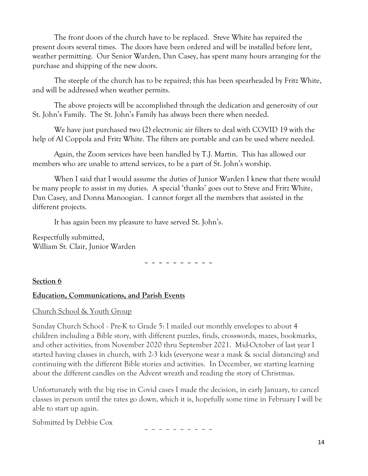The front doors of the church have to be replaced. Steve White has repaired the present doors several times. The doors have been ordered and will be installed before lent, weather permitting. Our Senior Warden, Dan Casey, has spent many hours arranging for the purchase and shipping of the new doors.

The steeple of the church has to be repaired; this has been spearheaded by Fritz White, and will be addressed when weather permits.

The above projects will be accomplished through the dedication and generosity of our St. John's Family. The St. John's Family has always been there when needed.

We have just purchased two (2) electronic air filters to deal with COVID 19 with the help of Al Coppola and Fritz White. The filters are portable and can be used where needed.

Again, the Zoom services have been handled by T.J. Martin. This has allowed our members who are unable to attend services, to be a part of St. John's worship.

When I said that I would assume the duties of Junior Warden I knew that there would be many people to assist in my duties. A special 'thanks' goes out to Steve and Fritz White, Dan Casey, and Donna Manoogian. I cannot forget all the members that assisted in the different projects.

It has again been my pleasure to have served St. John's.

Respectfully submitted, William St. Clair, Junior Warden

**~ ~ ~ ~ ~ ~ ~ ~ ~ ~**

#### **Section 6**

#### **Education, Communications, and Parish Events**

#### Church School & Youth Group

Sunday Church School - Pre-K to Grade 5: I mailed out monthly envelopes to about 4 children including a Bible story, with different puzzles, finds, crosswords, mazes, bookmarks, and other activities, from November 2020 thru September 2021. Mid-October of last year I started having classes in church, with 2-3 kids (everyone wear a mask & social distancing) and continuing with the different Bible stories and activities. In December, we starting learning about the different candles on the Advent wreath and reading the story of Christmas.

Unfortunately with the big rise in Covid cases I made the decision, in early January, to cancel classes in person until the rates go down, which it is, hopefully some time in February I will be able to start up again.

Submitted by Debbie Cox

~ ~ ~ ~ ~ ~ ~ ~ ~ ~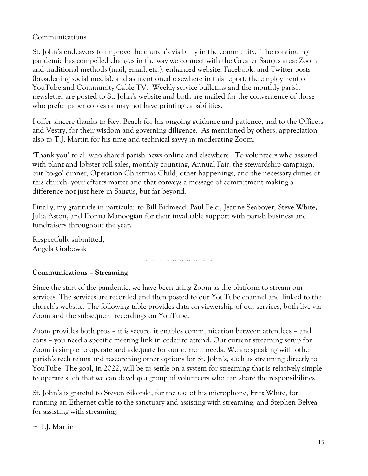#### Communications

St. John's endeavors to improve the church's visibility in the community. The continuing pandemic has compelled changes in the way we connect with the Greater Saugus area; Zoom and traditional methods (mail, email, etc.), enhanced website, Facebook, and Twitter posts (broadening social media), and as mentioned elsewhere in this report, the employment of YouTube and Community Cable TV. Weekly service bulletins and the monthly parish newsletter are posted to St. John's website and both are mailed for the convenience of those who prefer paper copies or may not have printing capabilities.

I offer sincere thanks to Rev. Beach for his ongoing guidance and patience, and to the Officers and Vestry, for their wisdom and governing diligence. As mentioned by others, appreciation also to T.J. Martin for his time and technical savvy in moderating Zoom.

'Thank you' to all who shared parish news online and elsewhere. To volunteers who assisted with plant and lobster roll sales, monthly counting, Annual Fair, the stewardship campaign, our 'to-go' dinner, Operation Christmas Child, other happenings, and the necessary duties of this church: your efforts matter and that conveys a message of commitment making a difference not just here in Saugus, but far beyond.

Finally, my gratitude in particular to Bill Bidmead, Paul Felci, Jeanne Seaboyer, Steve White, Julia Aston, and Donna Manoogian for their invaluable support with parish business and fundraisers throughout the year.

Respectfully submitted, Angela Grabowski

~ ~ ~ ~ ~ ~ ~ ~ ~ ~

#### **Communications – Streaming**

Since the start of the pandemic, we have been using Zoom as the platform to stream our services. The services are recorded and then posted to our YouTube channel and linked to the church's website. The following table provides data on viewership of our services, both live via Zoom and the subsequent recordings on YouTube.

Zoom provides both pros – it is secure; it enables communication between attendees – and cons – you need a specific meeting link in order to attend. Our current streaming setup for Zoom is simple to operate and adequate for our current needs. We are speaking with other parish's tech teams and researching other options for St. John's, such as streaming directly to YouTube. The goal, in 2022, will be to settle on a system for streaming that is relatively simple to operate such that we can develop a group of volunteers who can share the responsibilities.

St. John's is grateful to Steven Sikorski, for the use of his microphone, Fritz White, for running an Ethernet cable to the sanctuary and assisting with streaming, and Stephen Belyea for assisting with streaming.

#### $\sim$  T.J. Martin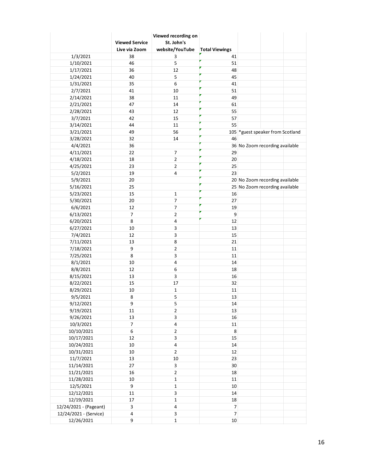|                        | <b>Viewed Service</b><br>Live via Zoom | Viewed recording on<br>St. John's<br>website/YouTube | <b>Total Viewings</b> |                                  |  |
|------------------------|----------------------------------------|------------------------------------------------------|-----------------------|----------------------------------|--|
| 1/3/2021               | 38                                     | 3                                                    | 41                    |                                  |  |
| 1/10/2021              | 46                                     | 5                                                    | 51                    |                                  |  |
| 1/17/2021              | 36                                     | 12                                                   | 48                    |                                  |  |
| 1/24/2021              | 40                                     | 5                                                    | 45                    |                                  |  |
| 1/31/2021              | 35                                     | 6                                                    | 41                    |                                  |  |
| 2/7/2021               | 41                                     | 10                                                   | 51                    |                                  |  |
| 2/14/2021              | 38                                     | 11                                                   | 49                    |                                  |  |
| 2/21/2021              | 47                                     | 14                                                   | 61                    |                                  |  |
| 2/28/2021              | 43                                     | 12                                                   | 55                    |                                  |  |
| 3/7/2021               | 42                                     | 15                                                   | 57                    |                                  |  |
| 3/14/2021              | 44                                     | 11                                                   | 55                    |                                  |  |
| 3/21/2021              | 49                                     | 56                                                   |                       | 105 *guest speaker from Scotland |  |
| 3/28/2021              | 32                                     | 14                                                   | 46                    |                                  |  |
| 4/4/2021               | 36                                     |                                                      |                       | 36 No Zoom recording available   |  |
| 4/11/2021              | 22                                     | $\overline{7}$                                       | 29                    |                                  |  |
| 4/18/2021              | 18                                     | $\overline{2}$                                       | 20                    |                                  |  |
| 4/25/2021              | 23                                     | $\overline{2}$                                       | 25                    |                                  |  |
| 5/2/2021               | 19                                     | $\overline{\mathbf{4}}$                              | 23                    |                                  |  |
| 5/9/2021               | 20                                     |                                                      |                       | 20 No Zoom recording available   |  |
| 5/16/2021              | 25                                     |                                                      |                       | 25 No Zoom recording available   |  |
| 5/23/2021              | 15                                     | $\mathbf 1$                                          | 16                    |                                  |  |
| 5/30/2021              | 20                                     | $\overline{7}$                                       | 27                    |                                  |  |
| 6/6/2021               | 12                                     | $\overline{7}$                                       | 19                    |                                  |  |
| 6/13/2021              | $\overline{7}$                         | $\overline{2}$                                       | 9                     |                                  |  |
| 6/20/2021              | 8                                      | $\overline{\mathbf{4}}$                              | 12                    |                                  |  |
| 6/27/2021              | 10                                     | 3                                                    | 13                    |                                  |  |
| 7/4/2021               | 12                                     | 3                                                    | 15                    |                                  |  |
| 7/11/2021              | 13                                     | 8                                                    | 21                    |                                  |  |
| 7/18/2021              | 9                                      | $\overline{2}$                                       | 11                    |                                  |  |
| 7/25/2021              | 8                                      | 3                                                    | 11                    |                                  |  |
| 8/1/2021               | 10                                     | $\overline{\mathbf{4}}$                              | 14                    |                                  |  |
| 8/8/2021               | 12                                     | 6                                                    | 18                    |                                  |  |
| 8/15/2021              | 13                                     | 3                                                    | 16                    |                                  |  |
| 8/22/2021              | 15                                     | 17                                                   | 32                    |                                  |  |
| 8/29/2021              | 10                                     | $\mathbf 1$                                          | 11                    |                                  |  |
| 9/5/2021               | 8                                      | 5                                                    | 13                    |                                  |  |
| 9/12/2021              | 9                                      | 5                                                    | 14                    |                                  |  |
| 9/19/2021              | 11                                     | $\mathbf 2$                                          | 13                    |                                  |  |
| 9/26/2021              | 13                                     | 3                                                    | 16                    |                                  |  |
| 10/3/2021              | $\overline{\mathcal{I}}$               | 4                                                    | $11\,$                |                                  |  |
| 10/10/2021             | 6                                      | $\overline{2}$                                       | 8                     |                                  |  |
| 10/17/2021             | 12                                     | 3                                                    | 15                    |                                  |  |
| 10/24/2021             | 10                                     | $\overline{\mathbf{4}}$                              | 14                    |                                  |  |
| 10/31/2021             | $10\,$                                 | $\overline{2}$                                       | 12                    |                                  |  |
| 11/7/2021              | 13                                     | $10\,$                                               | 23                    |                                  |  |
| 11/14/2021             | 27                                     | 3                                                    | 30                    |                                  |  |
| 11/21/2021             | 16                                     | $\overline{2}$                                       | 18                    |                                  |  |
| 11/28/2021             | 10                                     | $\mathbf 1$                                          | $11\,$                |                                  |  |
| 12/5/2021              | 9                                      | $\mathbf 1$                                          | $10\,$                |                                  |  |
| 12/12/2021             | $11\,$                                 | 3                                                    | 14                    |                                  |  |
| 12/19/2021             | 17                                     | $\mathbf 1$                                          | 18                    |                                  |  |
| 12/24/2021 - (Pageant) | 3                                      | $\overline{\mathbf{4}}$                              | $\overline{7}$        |                                  |  |
| 12/24/2021 - (Service) | $\overline{\mathbf{4}}$                | $\mathbf{3}$                                         | $\overline{7}$        |                                  |  |
| 12/26/2021             | 9                                      | $\mathbf{1}$                                         | $10\,$                |                                  |  |
|                        |                                        |                                                      |                       |                                  |  |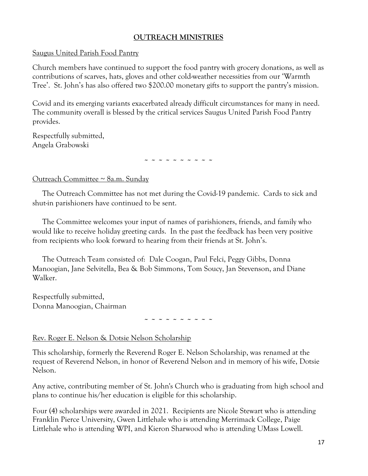#### **OUTREACH MINISTRIES**

#### Saugus United Parish Food Pantry

Church members have continued to support the food pantry with grocery donations, as well as contributions of scarves, hats, gloves and other cold-weather necessities from our 'Warmth Tree'. St. John's has also offered two \$200.00 monetary gifts to support the pantry's mission.

Covid and its emerging variants exacerbated already difficult circumstances for many in need. The community overall is blessed by the critical services Saugus United Parish Food Pantry provides.

Respectfully submitted, Angela Grabowski

**~ ~ ~ ~ ~ ~ ~ ~ ~ ~**

#### Outreach Committee ~ 8a.m. Sunday

 The Outreach Committee has not met during the Covid-19 pandemic. Cards to sick and shut-in parishioners have continued to be sent.

 The Committee welcomes your input of names of parishioners, friends, and family who would like to receive holiday greeting cards. In the past the feedback has been very positive from recipients who look forward to hearing from their friends at St. John's.

 The Outreach Team consisted of: Dale Coogan, Paul Felci, Peggy Gibbs, Donna Manoogian, Jane Selvitella, Bea & Bob Simmons, Tom Soucy, Jan Stevenson, and Diane Walker.

Respectfully submitted, Donna Manoogian, Chairman

**~ ~ ~ ~ ~ ~ ~ ~ ~ ~**

#### Rev. Roger E. Nelson & Dotsie Nelson Scholarship

This scholarship, formerly the Reverend Roger E. Nelson Scholarship, was renamed at the request of Reverend Nelson, in honor of Reverend Nelson and in memory of his wife, Dotsie Nelson.

Any active, contributing member of St. John's Church who is graduating from high school and plans to continue his/her education is eligible for this scholarship.

Four (4) scholarships were awarded in 2021. Recipients are Nicole Stewart who is attending Franklin Pierce University, Gwen Littlehale who is attending Merrimack College, Paige Littlehale who is attending WPI, and Kieron Sharwood who is attending UMass Lowell.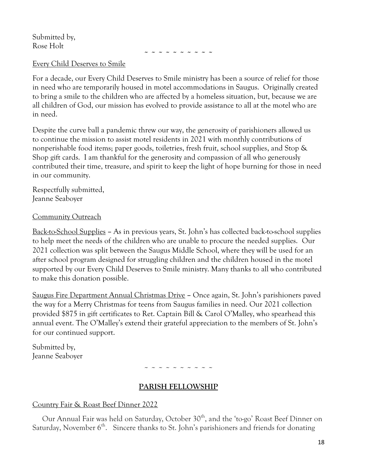Submitted by, Rose Holt

**~ ~ ~ ~ ~ ~ ~ ~ ~ ~**

#### Every Child Deserves to Smile

For a decade, our Every Child Deserves to Smile ministry has been a source of relief for those in need who are temporarily housed in motel accommodations in Saugus. Originally created to bring a smile to the children who are affected by a homeless situation, but, because we are all children of God, our mission has evolved to provide assistance to all at the motel who are in need.

Despite the curve ball a pandemic threw our way, the generosity of parishioners allowed us to continue the mission to assist motel residents in 2021 with monthly contributions of nonperishable food items; paper goods, toiletries, fresh fruit, school supplies, and Stop & Shop gift cards. I am thankful for the generosity and compassion of all who generously contributed their time, treasure, and spirit to keep the light of hope burning for those in need in our community.

Respectfully submitted, Jeanne Seaboyer

#### Community Outreach

Back-to-School Supplies **–** As in previous years, St. John's has collected back-to-school supplies to help meet the needs of the children who are unable to procure the needed supplies. Our 2021 collection was split between the Saugus Middle School, where they will be used for an after school program designed for struggling children and the children housed in the motel supported by our Every Child Deserves to Smile ministry. Many thanks to all who contributed to make this donation possible.

Saugus Fire Department Annual Christmas Drive **–** Once again, St. John's parishioners paved the way for a Merry Christmas for teens from Saugus families in need. Our 2021 collection provided \$875 in gift certificates to Ret. Captain Bill & Carol O'Malley, who spearhead this annual event. The O'Malley's extend their grateful appreciation to the members of St. John's for our continued support.

Submitted by, Jeanne Seaboyer

 $\sim$   $\sim$   $\sim$   $\sim$   $\sim$   $\sim$   $\sim$   $\sim$ 

#### **PARISH FELLOWSHIP**

#### Country Fair & Roast Beef Dinner 2022

Our Annual Fair was held on Saturday, October 30<sup>th</sup>, and the 'to-go' Roast Beef Dinner on Saturday, November  $6^{\text{th}}$ . Sincere thanks to St. John's parishioners and friends for donating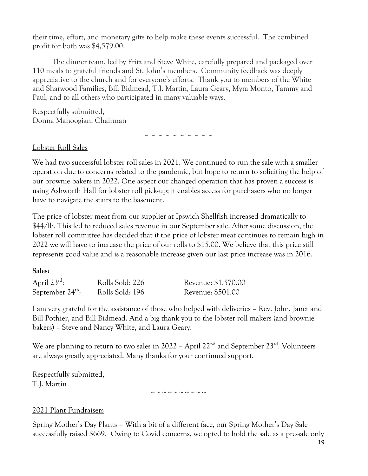their time, effort, and monetary gifts to help make these events successful. The combined profit for both was \$4,579.00.

 The dinner team, led by Fritz and Steve White, carefully prepared and packaged over 110 meals to grateful friends and St. John's members. Community feedback was deeply appreciative to the church and for everyone's efforts. Thank you to members of the White and Sharwood Families, Bill Bidmead, T.J. Martin, Laura Geary, Myra Monto, Tammy and Paul, and to all others who participated in many valuable ways.

Respectfully submitted, Donna Manoogian, Chairman

~ ~ ~ ~ ~ ~ ~ ~ ~ ~

#### Lobster Roll Sales

We had two successful lobster roll sales in 2021. We continued to run the sale with a smaller operation due to concerns related to the pandemic, but hope to return to soliciting the help of our brownie bakers in 2022. One aspect our changed operation that has proven a success is using Ashworth Hall for lobster roll pick-up; it enables access for purchasers who no longer have to navigate the stairs to the basement.

The price of lobster meat from our supplier at Ipswich Shellfish increased dramatically to \$44/lb. This led to reduced sales revenue in our September sale. After some discussion, the lobster roll committee has decided that if the price of lobster meat continues to remain high in 2022 we will have to increase the price of our rolls to \$15.00. We believe that this price still represents good value and is a reasonable increase given our last price increase was in 2016.

#### **Sales:**

| April $23^{rd}$ :            | Rolls Sold: 226 | Revenue: \$1,570.00 |
|------------------------------|-----------------|---------------------|
| September $24^{\text{th}}$ : | Rolls Sold: 196 | Revenue: \$501.00   |

I am very grateful for the assistance of those who helped with deliveries – Rev. John, Janet and Bill Pothier, and Bill Bidmead. And a big thank you to the lobster roll makers (and brownie bakers) – Steve and Nancy White, and Laura Geary.

We are planning to return to two sales in 2022 - April  $22<sup>nd</sup>$  and September  $23<sup>rd</sup>$ . Volunteers are always greatly appreciated. Many thanks for your continued support.

Respectfully submitted, T.J. Martin

 $\sim$  ~ ~ ~ ~ ~ ~ ~ ~

#### 2021 Plant Fundraisers

Spring Mother's Day Plants **–** With a bit of a different face, our Spring Mother's Day Sale successfully raised \$669. Owing to Covid concerns, we opted to hold the sale as a pre-sale only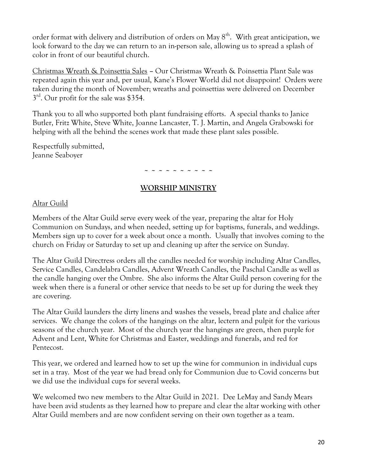order format with delivery and distribution of orders on May  $8^{\text{th}}$ . With great anticipation, we look forward to the day we can return to an in-person sale, allowing us to spread a splash of color in front of our beautiful church.

Christmas Wreath & Poinsettia Sales **–** Our Christmas Wreath & Poinsettia Plant Sale was repeated again this year and, per usual, Kane's Flower World did not disappoint! Orders were taken during the month of November; wreaths and poinsettias were delivered on December 3<sup>rd</sup>. Our profit for the sale was \$354.

Thank you to all who supported both plant fundraising efforts. A special thanks to Janice Butler, Fritz White, Steve White, Joanne Lancaster, T. J. Martin, and Angela Grabowski for helping with all the behind the scenes work that made these plant sales possible.

Respectfully submitted, Jeanne Seaboyer

#### **~ ~ ~ ~ ~ ~ ~ ~ ~ ~**

#### **WORSHIP MINISTRY**

#### Altar Guild

Members of the Altar Guild serve every week of the year, preparing the altar for Holy Communion on Sundays, and when needed, setting up for baptisms, funerals, and weddings. Members sign up to cover for a week about once a month. Usually that involves coming to the church on Friday or Saturday to set up and cleaning up after the service on Sunday.

The Altar Guild Directress orders all the candles needed for worship including Altar Candles, Service Candles, Candelabra Candles, Advent Wreath Candles, the Paschal Candle as well as the candle hanging over the Ombre. She also informs the Altar Guild person covering for the week when there is a funeral or other service that needs to be set up for during the week they are covering.

The Altar Guild launders the dirty linens and washes the vessels, bread plate and chalice after services. We change the colors of the hangings on the altar, lectern and pulpit for the various seasons of the church year. Most of the church year the hangings are green, then purple for Advent and Lent, White for Christmas and Easter, weddings and funerals, and red for Pentecost.

This year, we ordered and learned how to set up the wine for communion in individual cups set in a tray. Most of the year we had bread only for Communion due to Covid concerns but we did use the individual cups for several weeks.

We welcomed two new members to the Altar Guild in 2021. Dee LeMay and Sandy Mears have been avid students as they learned how to prepare and clear the altar working with other Altar Guild members and are now confident serving on their own together as a team.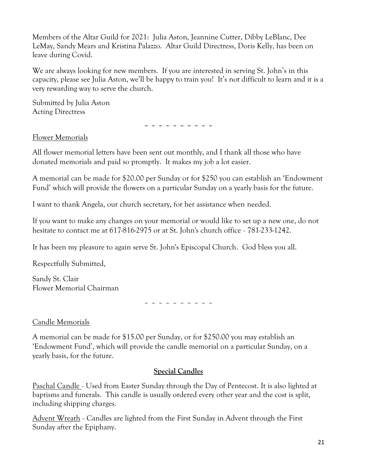Members of the Altar Guild for 2021: Julia Aston, Jeannine Cutter, Dibby LeBlanc, Dee LeMay, Sandy Mears and Kristina Palazzo. Altar Guild Directress, Doris Kelly, has been on leave during Covid.

We are always looking for new members. If you are interested in serving St. John's in this capacity, please see Julia Aston, we'll be happy to train you! It's not difficult to learn and it is a very rewarding way to serve the church.

Submitted by Julia Aston Acting Directress

**~ ~ ~ ~ ~ ~ ~ ~ ~ ~**

Flower Memorials

All flower memorial letters have been sent out monthly, and I thank all those who have donated memorials and paid so promptly. It makes my job a lot easier.

A memorial can be made for \$20.00 per Sunday or for \$250 you can establish an 'Endowment Fund' which will provide the flowers on a particular Sunday on a yearly basis for the future.

I want to thank Angela, our church secretary, for her assistance when needed.

If you want to make any changes on your memorial or would like to set up a new one, do not hesitate to contact me at 617-816-2975 or at St. John's church office - 781-233-1242.

It has been my pleasure to again serve St. John's Episcopal Church. God bless you all.

Respectfully Submitted,

Sandy St. Clair Flower Memorial Chairman

~ ~ ~ ~ ~ ~ ~ ~ ~ ~

Candle Memorials

A memorial can be made for \$15.00 per Sunday, or for \$250.00 you may establish an 'Endowment Fund', which will provide the candle memorial on a particular Sunday, on a yearly basis, for the future.

#### **Special Candles**

Paschal Candle - Used from Easter Sunday through the Day of Pentecost. It is also lighted at baptisms and funerals. This candle is usually ordered every other year and the cost is split, including shipping charges.

Advent Wreath - Candles are lighted from the First Sunday in Advent through the First Sunday after the Epiphany.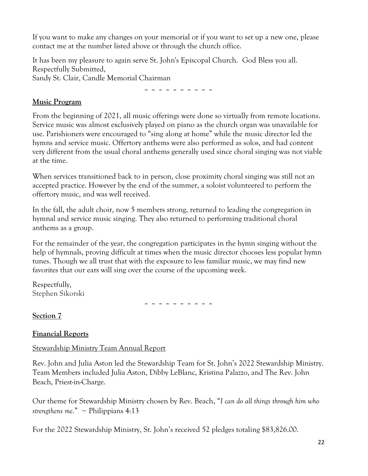If you want to make any changes on your memorial or if you want to set up a new one, please contact me at the number listed above or through the church office.

It has been my pleasure to again serve St. John's Episcopal Church. God Bless you all. Respectfully Submitted, Sandy St. Clair, Candle Memorial Chairman

**~ ~ ~ ~ ~ ~ ~ ~ ~ ~**

#### **Music Program**

From the beginning of 2021, all music offerings were done so virtually from remote locations. Service music was almost exclusively played on piano as the church organ was unavailable for use. Parishioners were encouraged to "sing along at home" while the music director led the hymns and service music. Offertory anthems were also performed as solos, and had content very different from the usual choral anthems generally used since choral singing was not viable at the time.

When services transitioned back to in person, close proximity choral singing was still not an accepted practice. However by the end of the summer, a soloist volunteered to perform the offertory music, and was well received.

In the fall, the adult choir, now 5 members strong, returned to leading the congregation in hymnal and service music singing. They also returned to performing traditional choral anthems as a group.

For the remainder of the year, the congregation participates in the hymn singing without the help of hymnals, proving difficult at times when the music director chooses less popular hymn tunes. Though we all trust that with the exposure to less familiar music, we may find new favorites that our ears will sing over the course of the upcoming week.

Respectfully, Stephen Sikorski

**~ ~ ~ ~ ~ ~ ~ ~ ~ ~**

**Section 7** 

#### **Financial Reports**

#### Stewardship Ministry Team Annual Report

Rev. John and Julia Aston led the Stewardship Team for St. John's 2022 Stewardship Ministry. Team Members included Julia Aston, Dibby LeBlanc, Kristina Palazzo, and The Rev. John Beach, Priest-in-Charge.

Our theme for Stewardship Ministry chosen by Rev. Beach, "*I can do all things through him who strengthens me.*"  $\sim$  Philippians 4:13

For the 2022 Stewardship Ministry, St. John's received 52 pledges totaling \$83,826.00.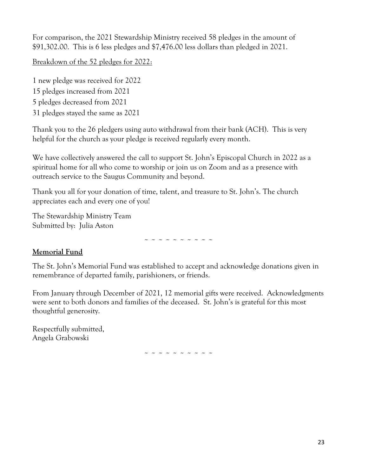For comparison, the 2021 Stewardship Ministry received 58 pledges in the amount of \$91,302.00. This is 6 less pledges and \$7,476.00 less dollars than pledged in 2021.

Breakdown of the 52 pledges for 2022:

1 new pledge was received for 2022 15 pledges increased from 2021 5 pledges decreased from 2021 31 pledges stayed the same as 2021

Thank you to the 26 pledgers using auto withdrawal from their bank (ACH). This is very helpful for the church as your pledge is received regularly every month.

We have collectively answered the call to support St. John's Episcopal Church in 2022 as a spiritual home for all who come to worship or join us on Zoom and as a presence with outreach service to the Saugus Community and beyond.

Thank you all for your donation of time, talent, and treasure to St. John's. The church appreciates each and every one of you!

The Stewardship Ministry Team Submitted by: Julia Aston

~ ~ ~ ~ ~ ~ ~ ~ ~ ~

#### **Memorial Fund**

The St. John's Memorial Fund was established to accept and acknowledge donations given in remembrance of departed family, parishioners, or friends.

From January through December of 2021, 12 memorial gifts were received. Acknowledgments were sent to both donors and families of the deceased. St. John's is grateful for this most thoughtful generosity.

Respectfully submitted, Angela Grabowski

~ ~ ~ ~ ~ ~ ~ ~ ~ ~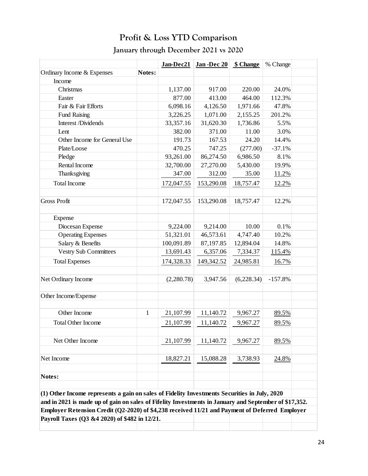### **Profit & Loss YTD Comparison**

### **January through December 2021 vs 2020**

|                                                                                                       |              | Jan-Dec21  | Jan-Dec 20 | \$ Change  | % Change  |  |
|-------------------------------------------------------------------------------------------------------|--------------|------------|------------|------------|-----------|--|
| Ordinary Income & Expenses                                                                            | Notes:       |            |            |            |           |  |
| Income                                                                                                |              |            |            |            |           |  |
| Christmas                                                                                             |              | 1,137.00   | 917.00     | 220.00     | 24.0%     |  |
| Easter                                                                                                |              | 877.00     | 413.00     | 464.00     | 112.3%    |  |
| Fair & Fair Efforts                                                                                   |              | 6,098.16   | 4,126.50   | 1,971.66   | 47.8%     |  |
| <b>Fund Raising</b>                                                                                   |              | 3,226.25   | 1,071.00   | 2,155.25   | 201.2%    |  |
| Interest /Dividends                                                                                   |              | 33,357.16  | 31,620.30  | 1,736.86   | 5.5%      |  |
| Lent                                                                                                  |              | 382.00     | 371.00     | 11.00      | 3.0%      |  |
| Other Income for General Use                                                                          |              | 191.73     | 167.53     | 24.20      | 14.4%     |  |
| Plate/Loose                                                                                           |              | 470.25     | 747.25     | (277.00)   | $-37.1%$  |  |
| Pledge                                                                                                |              | 93,261.00  | 86,274.50  | 6,986.50   | 8.1%      |  |
| Rental Income                                                                                         |              | 32,700.00  | 27,270.00  | 5,430.00   | 19.9%     |  |
| Thanksgiving                                                                                          |              | 347.00     | 312.00     | 35.00      | 11.2%     |  |
| <b>Total Income</b>                                                                                   |              | 172,047.55 | 153,290.08 | 18,757.47  | 12.2%     |  |
| <b>Gross Profit</b>                                                                                   |              | 172,047.55 | 153,290.08 | 18,757.47  | 12.2%     |  |
|                                                                                                       |              |            |            |            |           |  |
| Expense                                                                                               |              |            |            |            |           |  |
| Diocesan Expense                                                                                      |              | 9,224.00   | 9,214.00   | 10.00      | 0.1%      |  |
| <b>Operating Expenses</b>                                                                             |              | 51,321.01  | 46,573.61  | 4,747.40   | 10.2%     |  |
| Salary & Benefits                                                                                     |              | 100,091.89 | 87,197.85  | 12,894.04  | 14.8%     |  |
| <b>Vestry Sub Committees</b>                                                                          |              | 13,691.43  | 6,357.06   | 7,334.37   | 115.4%    |  |
| <b>Total Expenses</b>                                                                                 |              | 174,328.33 | 149,342.52 | 24,985.81  | 16.7%     |  |
| Net Ordinary Income                                                                                   |              | (2,280.78) | 3,947.56   | (6,228.34) | $-157.8%$ |  |
| Other Income/Expense                                                                                  |              |            |            |            |           |  |
| Other Income                                                                                          | $\mathbf{1}$ | 21,107.99  | 11,140.72  | 9,967.27   | 89.5%     |  |
|                                                                                                       |              |            |            |            |           |  |
| <b>Total Other Income</b>                                                                             |              | 21,107.99  | 11,140.72  | 9,967.27   | 89.5%     |  |
| Net Other Income                                                                                      |              | 21,107.99  | 11,140.72  | 9,967.27   | 89.5%     |  |
| Net Income                                                                                            |              | 18,827.21  | 15,088.28  | 3,738.93   | 24.8%     |  |
| Notes:                                                                                                |              |            |            |            |           |  |
|                                                                                                       |              |            |            |            |           |  |
| (1) Other Income represents a gain on sales of Fidelity Investments Securities in July, 2020          |              |            |            |            |           |  |
| and in 2021 is made up of gain on sales of Fifelity Investments in January and September of \$17,352. |              |            |            |            |           |  |
| Employer Retension Credit (Q2-2020) of \$4,238 received 11/21 and Payment of Deferred Employer        |              |            |            |            |           |  |
| Payroll Taxes (Q3 &4 2020) of \$482 in 12/21.                                                         |              |            |            |            |           |  |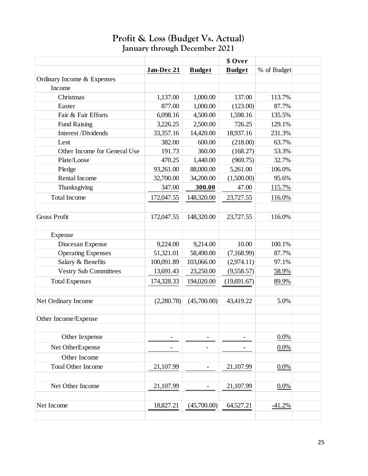#### **Profit & Loss (Budget Vs. Actual) January through December 2021** Loss (Duuget vs. Actual)

|                              |            |                          | \$ Over       |             |  |
|------------------------------|------------|--------------------------|---------------|-------------|--|
|                              | Jan-Dec 21 | <b>Budget</b>            | <b>Budget</b> | % of Budget |  |
| Ordinary Income & Expenses   |            |                          |               |             |  |
| Income                       |            |                          |               |             |  |
| Christmas                    | 1,137.00   | 1,000.00                 | 137.00        | 113.7%      |  |
| Easter                       | 877.00     | 1,000.00                 | (123.00)      | 87.7%       |  |
| Fair & Fair Efforts          | 6,098.16   | 4,500.00                 | 1,598.16      | 135.5%      |  |
| <b>Fund Raising</b>          | 3,226.25   | 2,500.00                 | 726.25        | 129.1%      |  |
| Interest /Dividends          | 33,357.16  | 14,420.00                | 18,937.16     | 231.3%      |  |
| Lent                         | 382.00     | 600.00                   | (218.00)      | 63.7%       |  |
| Other Income for General Use | 191.73     | 360.00                   | (168.27)      | 53.3%       |  |
| Plate/Loose                  | 470.25     | 1,440.00                 | (969.75)      | 32.7%       |  |
| Pledge                       | 93,261.00  | 88,000.00                | 5,261.00      | 106.0%      |  |
| Rental Income                | 32,700.00  | 34,200.00                | (1,500.00)    | 95.6%       |  |
| Thanksgiving                 | 347.00     | 300.00                   | 47.00         | 115.7%      |  |
| <b>Total Income</b>          | 172,047.55 | 148,320.00               | 23,727.55     | 116.0%      |  |
|                              |            |                          |               |             |  |
| <b>Gross Profit</b>          | 172,047.55 | 148,320.00               | 23,727.55     | 116.0%      |  |
|                              |            |                          |               |             |  |
| Expense                      |            |                          |               |             |  |
| Diocesan Expense             | 9,224.00   | 9,214.00                 | 10.00         | 100.1%      |  |
| <b>Operating Expenses</b>    | 51,321.01  | 58,490.00                | (7,168.99)    | 87.7%       |  |
| Salary & Benefits            | 100,091.89 | 103,066.00               | (2,974.11)    | 97.1%       |  |
| <b>Vestry Sub Committees</b> | 13,691.43  | 23,250.00                | (9,558.57)    | 58.9%       |  |
| <b>Total Expenses</b>        | 174,328.33 | 194,020.00               | (19,691.67)   | 89.9%       |  |
|                              |            |                          |               |             |  |
| Net Ordinary Income          | (2,280.78) | (45,700.00)              | 43,419.22     | 5.0%        |  |
|                              |            |                          |               |             |  |
| Other Income/Expense         |            |                          |               |             |  |
| Other Iexpense               |            |                          |               | 0.0%        |  |
| Net OtherExpense             |            |                          |               | 0.0%        |  |
| Other Income                 |            |                          |               |             |  |
| <b>Total Other Income</b>    | 21,107.99  |                          | 21,107.99     | 0.0%        |  |
|                              |            |                          |               |             |  |
| Net Other Income             | 21,107.99  | $\overline{\phantom{0}}$ | 21,107.99     | 0.0%        |  |
|                              |            |                          |               |             |  |
|                              |            |                          |               |             |  |
| Net Income                   | 18,827.21  | (45,700.00)              | 64,527.21     | $-41.2%$    |  |
|                              |            |                          |               |             |  |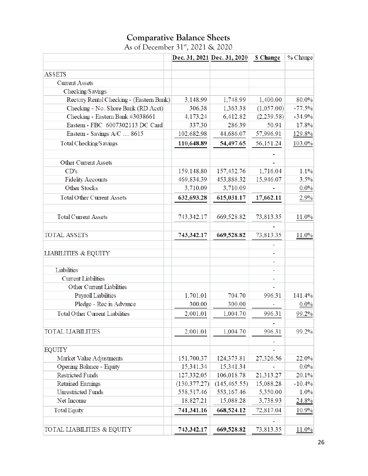#### **Comparative Balance Sheets** As of December 31<sup>st</sup>, 2021 & 2020

|                                          |               | Dec. 31, 2021 Dec. 31, 2020 | <b>S</b> Change | % Change |
|------------------------------------------|---------------|-----------------------------|-----------------|----------|
| <b>ASSETS</b>                            |               |                             |                 |          |
| <b>Current Assets</b>                    |               |                             |                 |          |
| Checking/Savings                         |               |                             |                 |          |
| Rectory Rental Checking - (Eastern Bank) | 3,148.99      | 1,748.99                    | 1,400.00        | 80.0%    |
| Checking - No. Shore Bank (RD Acct)      | 306.38        | 1,363.38                    | (1,057.00)      | $-77.5%$ |
| Checking - Eastern Bank #3038661         | 4,173.24      | 6,412.82                    | (2,239.58)      | $-34.9%$ |
| Eastern - FBC 6007302113 DC Card         | 337.30        | 286.39                      | 50.91           | 17.8%    |
| Eastern - Savings A/C  8615              | 102,682.98    | 44,686.07                   | 57,996.91       | 129.8%   |
| Total Checking/S avings                  | 110,648.89    | 54,497.65                   | 56,151.24       | 103.0%   |
|                                          |               |                             |                 |          |
| Other Current Assets                     |               |                             |                 |          |
| CD's                                     | 159,148.80    | 157,432.76                  | 1,716.04        | 1.1%     |
| <b>Fidelity Accounts</b>                 | 469,834.39    | 453,888.32                  | 15,946.07       | 3.5%     |
| Other Stocks                             | 3,710.09      | 3,710.09                    |                 | $0.0\%$  |
| <b>Total Other Current Assets</b>        | 632,693.28    | 615,031.17                  | 17,662.11       | 2.9%     |
| <b>Total Current Assets</b>              | 743,342.17    | 669,528.82                  | 73,813.35       | 11.0%    |
| <b>TOTAL ASSETS</b>                      |               | 669,528.82                  | 73,813.35       | 11.0%    |
|                                          | 743,342.17    |                             |                 |          |
| <b>LIABILITIES &amp; EQUITY</b>          |               |                             |                 |          |
| Liabilities                              |               |                             |                 |          |
| <b>Current Liabilities</b>               |               |                             |                 |          |
| Other Current Liabilities                |               |                             |                 |          |
| Payroll Liabilities                      | 1,701.01      | 704.70                      | 996.31          | 141.4%   |
| Pledge - Rec in Advance                  | 300.00        | 300.00                      |                 | $0.0\%$  |
| Total Other Current Liabilities          | 2,001.01      | 1,004.70                    | 996.31          | 99.2%    |
|                                          |               |                             |                 |          |
| <b>TOTAL LIABILITIES</b>                 | 2,001.01      | 1,004.70                    | 996.31          | 99.2%    |
| <b>EQUITY</b>                            |               |                             |                 |          |
| Market Value Adjustments                 | 151,700.37    | 124,373.81                  | 27,326.56       | 22.0%    |
| Opening Balance - Equity                 | 15,341.34     | 15,341.34                   |                 | $0.0\%$  |
| <b>Restricted Funds</b>                  | 127,332.05    | 106,018.78                  | 21,313.27       | 20.1%    |
| Retained Earnings                        | (130, 377.27) | (145, 465.55)               | 15,088.28       | $-10.4%$ |
| Unrestricted Funds                       | 558,517.46    | 553,167.46                  | 5,350.00        | 1.0%     |
| Net Income                               | 18,827.21     | 15,088.28                   | 3,738.93        | 24.8%    |
| <b>Total Equity</b>                      | 741,341.16    | 668,524.12                  | 72,817.04       | 10.9%    |
|                                          |               |                             |                 |          |
| TOTAL LIABILITIES & EQUITY               | 743,342.17    | 669,528.82                  | 73,813.35       | 11.0%    |